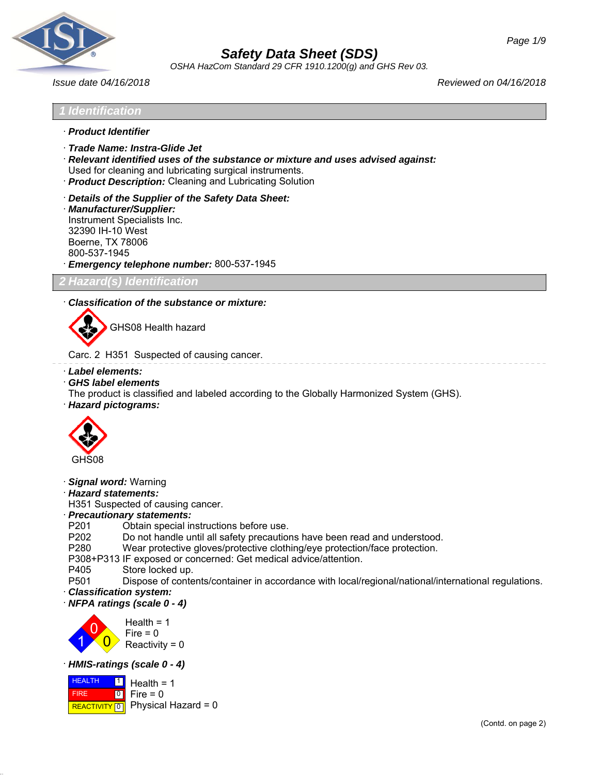

*OSHA HazCom Standard 29 CFR 1910.1200(g) and GHS Rev 03.*

*Issue date 04/16/2018 Reviewed on 04/16/2018*

## *1 Identification*

- · *Product Identifier*
- · *Trade Name: Instra-Glide Jet*
- · *Relevant identified uses of the substance or mixture and uses advised against:* Used for cleaning and lubricating surgical instruments.
- · *Product Description:* Cleaning and Lubricating Solution
- · *Details of the Supplier of the Safety Data Sheet:*
- · *Manufacturer/Supplier:* Instrument Specialists Inc. 32390 IH-10 West Boerne, TX 78006 800-537-1945 · *Emergency telephone number:* 800-537-1945

*2 Hazard(s) Identification*

#### · *Classification of the substance or mixture:*



GHS08 Health hazard

Carc. 2 H351 Suspected of causing cancer.

- · *Label elements:*
- · *GHS label elements*

The product is classified and labeled according to the Globally Harmonized System (GHS).

· *Hazard pictograms:*



- · *Signal word:* Warning
- · *Hazard statements:*

H351 Suspected of causing cancer.

### · *Precautionary statements:*

- P201 Obtain special instructions before use.
- P202 Do not handle until all safety precautions have been read and understood.<br>P280 Wear protective gloves/protective clothing/eve protection/face protection.
- Wear protective gloves/protective clothing/eye protection/face protection.

P308+P313 IF exposed or concerned: Get medical advice/attention.

- P405 Store locked up.
- P501 Dispose of contents/container in accordance with local/regional/national/international regulations.
- · *Classification system:*
- · *NFPA ratings (scale 0 4)*



#### · *HMIS-ratings (scale 0 - 4)*

**HEALTH FIRE REACTIVITY** 0 1  $\overline{0}$ Health  $= 1$  $Fire = 0$ Physical Hazard = 0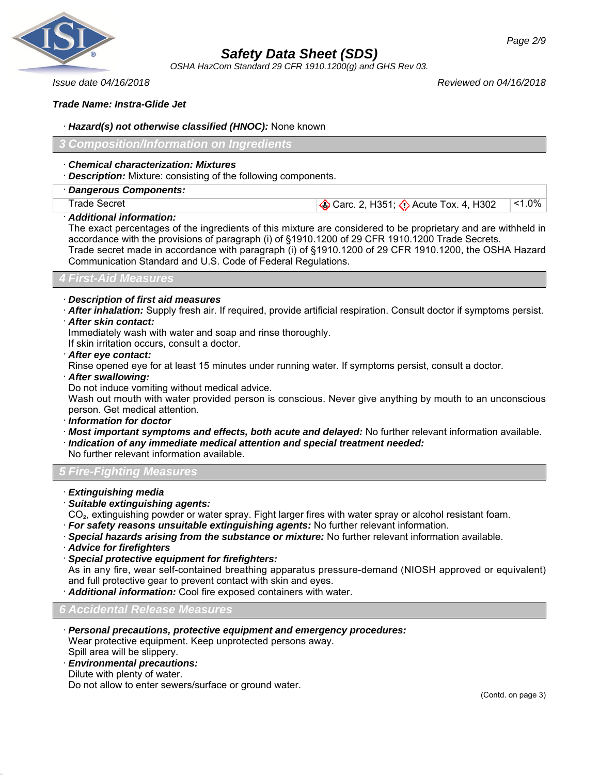

*OSHA HazCom Standard 29 CFR 1910.1200(g) and GHS Rev 03.*

*Issue date 04/16/2018 Reviewed on 04/16/2018*

*Page 2/9*

*Trade Name: Instra-Glide Jet*

#### · *Hazard(s) not otherwise classified (HNOC):* None known

*3 Composition/Information on Ingredients*

#### · *Chemical characterization: Mixtures*

· *Description:* Mixture: consisting of the following components.

· *Dangerous Components:*

Trade Secret Carc. 2, H351;  $\bigcirc$  Acute Tox. 4, H302 <1.0%

· *Additional information:*

The exact percentages of the ingredients of this mixture are considered to be proprietary and are withheld in accordance with the provisions of paragraph (i) of §1910.1200 of 29 CFR 1910.1200 Trade Secrets. Trade secret made in accordance with paragraph (i) of §1910.1200 of 29 CFR 1910.1200, the OSHA Hazard Communication Standard and U.S. Code of Federal Regulations.

### *4 First-Aid Measures*

#### · *Description of first aid measures*

- · *After inhalation:* Supply fresh air. If required, provide artificial respiration. Consult doctor if symptoms persist.
- · *After skin contact:*

Immediately wash with water and soap and rinse thoroughly.

If skin irritation occurs, consult a doctor.

· *After eye contact:*

Rinse opened eye for at least 15 minutes under running water. If symptoms persist, consult a doctor.

· *After swallowing:*

Do not induce vomiting without medical advice.

Wash out mouth with water provided person is conscious. Never give anything by mouth to an unconscious person. Get medical attention.

- · *Information for doctor*
- · *Most important symptoms and effects, both acute and delayed:* No further relevant information available.
- · *Indication of any immediate medical attention and special treatment needed:*

No further relevant information available.

*5 Fire-Fighting Measures*

- · *Extinguishing media*
- · *Suitable extinguishing agents:*
- CO<sub>2</sub>, extinguishing powder or water spray. Fight larger fires with water spray or alcohol resistant foam.
- · *For safety reasons unsuitable extinguishing agents:* No further relevant information.
- · *Special hazards arising from the substance or mixture:* No further relevant information available.
- · *Advice for firefighters*
- · *Special protective equipment for firefighters:*

As in any fire, wear self-contained breathing apparatus pressure-demand (NIOSH approved or equivalent) and full protective gear to prevent contact with skin and eyes.

· *Additional information:* Cool fire exposed containers with water.

*6 Accidental Release Measures*

- · *Personal precautions, protective equipment and emergency procedures:* Wear protective equipment. Keep unprotected persons away. Spill area will be slippery.
- · *Environmental precautions:*
- Dilute with plenty of water.

Do not allow to enter sewers/surface or ground water.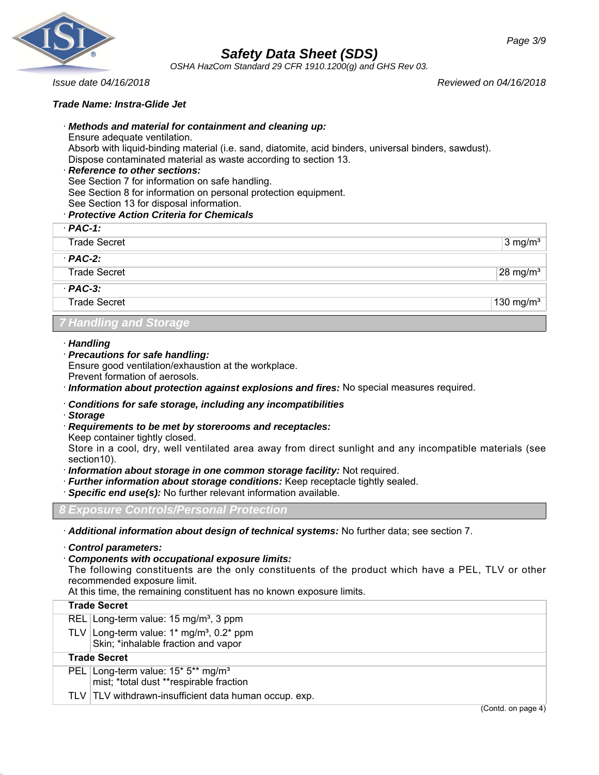

*OSHA HazCom Standard 29 CFR 1910.1200(g) and GHS Rev 03.*

*Issue date 04/16/2018 Reviewed on 04/16/2018*

#### *Trade Name: Instra-Glide Jet*

#### · *Methods and material for containment and cleaning up:*

Ensure adequate ventilation.

Absorb with liquid-binding material (i.e. sand, diatomite, acid binders, universal binders, sawdust). Dispose contaminated material as waste according to section 13.

#### · *Reference to other sections:*

See Section 7 for information on safe handling.

See Section 8 for information on personal protection equipment.

See Section 13 for disposal information.

### · *Protective Action Criteria for Chemicals*

| $PAC-1$ :                     |                     |
|-------------------------------|---------------------|
| <b>Trade Secret</b>           | $3 \text{ mg/m}^3$  |
| $PAC-2$ :                     |                     |
| <b>Trade Secret</b>           | $28 \text{ mg/m}^3$ |
| $PAC-3$ :                     |                     |
| <b>Trade Secret</b>           | 130 mg/ $m3$        |
| <b>7 Handling and Storage</b> |                     |

#### · *Handling*

· *Precautions for safe handling:*

Ensure good ventilation/exhaustion at the workplace.

Prevent formation of aerosols.

· *Information about protection against explosions and fires:* No special measures required.

#### · *Conditions for safe storage, including any incompatibilities*

- · *Storage*
- · *Requirements to be met by storerooms and receptacles:*

Keep container tightly closed.

Store in a cool, dry, well ventilated area away from direct sunlight and any incompatible materials (see section10).

- · *Information about storage in one common storage facility:* Not required.
- · *Further information about storage conditions:* Keep receptacle tightly sealed.
- · *Specific end use(s):* No further relevant information available.

*8 Exposure Controls/Personal Protection*

· *Additional information about design of technical systems:* No further data; see section 7.

· *Control parameters:*

#### · *Components with occupational exposure limits:*

The following constituents are the only constituents of the product which have a PEL, TLV or other recommended exposure limit.

At this time, the remaining constituent has no known exposure limits.

| <b>Trade Secret</b>                                    |                                    |
|--------------------------------------------------------|------------------------------------|
| REL Long-term value: $15 \text{ mg/m}^3$ , 3 ppm       |                                    |
| TLV Long-term value: $1*$ mg/m <sup>3</sup> , 0.2* ppm |                                    |
| Skin; *inhalable fraction and vapor                    |                                    |
| <b>Trade Secret</b>                                    |                                    |
| PEL Long-term value: 15* 5** mg/m <sup>3</sup>         |                                    |
| mist; *total dust **respirable fraction                |                                    |
| TLV TLV withdrawn-insufficient data human occup. exp.  |                                    |
|                                                        | $(C_{\Omega}$ ntd on nage $\Delta$ |

(Contd. on page 4)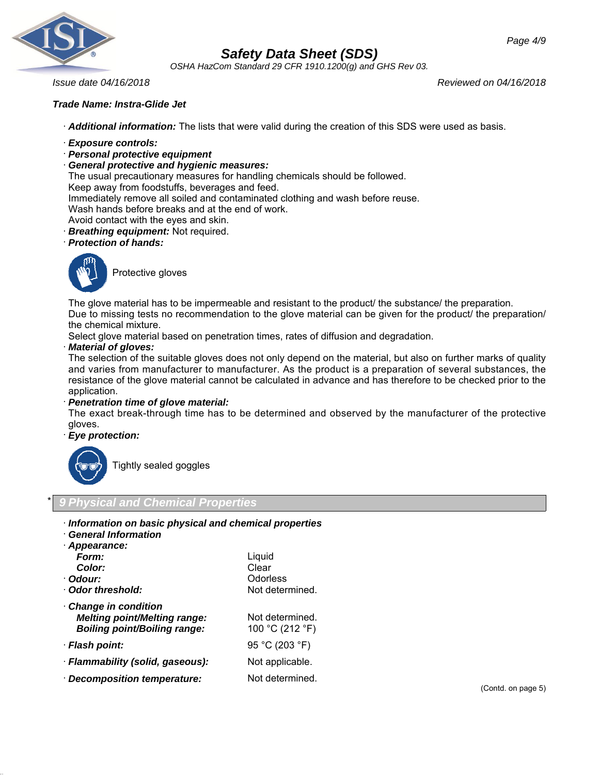

*OSHA HazCom Standard 29 CFR 1910.1200(g) and GHS Rev 03.*

*Issue date 04/16/2018 Reviewed on 04/16/2018*

#### *Trade Name: Instra-Glide Jet*

· *Additional information:* The lists that were valid during the creation of this SDS were used as basis.

- · *Exposure controls:*
- · *Personal protective equipment*
- · *General protective and hygienic measures:*

The usual precautionary measures for handling chemicals should be followed.

Keep away from foodstuffs, beverages and feed.

Immediately remove all soiled and contaminated clothing and wash before reuse.

Wash hands before breaks and at the end of work.

- Avoid contact with the eyes and skin.
- · *Breathing equipment:* Not required.
- · *Protection of hands:*



Protective gloves

The glove material has to be impermeable and resistant to the product/ the substance/ the preparation. Due to missing tests no recommendation to the glove material can be given for the product/ the preparation/ the chemical mixture.

Select glove material based on penetration times, rates of diffusion and degradation.

#### · *Material of gloves:*

The selection of the suitable gloves does not only depend on the material, but also on further marks of quality and varies from manufacturer to manufacturer. As the product is a preparation of several substances, the resistance of the glove material cannot be calculated in advance and has therefore to be checked prior to the application.

#### · *Penetration time of glove material:*

The exact break-through time has to be determined and observed by the manufacturer of the protective gloves.

#### · *Eye protection:*



Tightly sealed goggles

### \* *9 Physical and Chemical Properties*

- · *Information on basic physical and chemical properties*
- · *General Information*

| General Information                                                                                      |                                    |
|----------------------------------------------------------------------------------------------------------|------------------------------------|
| · Appearance:                                                                                            |                                    |
| Form:                                                                                                    | Liquid                             |
| <b>Color:</b>                                                                                            | Clear                              |
| · Odour:                                                                                                 | Odorless                           |
| Odor threshold:                                                                                          | Not determined.                    |
| <b>Change in condition</b><br><b>Melting point/Melting range:</b><br><b>Boiling point/Boiling range:</b> | Not determined.<br>100 °C (212 °F) |
| · Flash point:                                                                                           | 95 °C (203 °F)                     |
| · Flammability (solid, gaseous):                                                                         | Not applicable.                    |
| Decomposition temperature:                                                                               | Not determined.                    |
|                                                                                                          |                                    |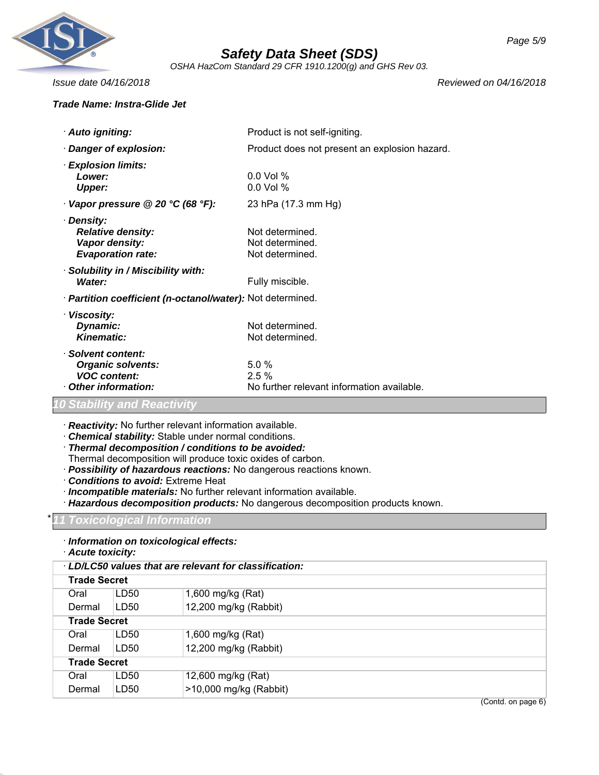

*OSHA HazCom Standard 29 CFR 1910.1200(g) and GHS Rev 03.*

#### *Trade Name: Instra-Glide Jet*

*Issue date 04/16/2018 Reviewed on 04/16/2018*

| · Auto igniting:                                                                            | Product is not self-igniting.                                 |
|---------------------------------------------------------------------------------------------|---------------------------------------------------------------|
| Danger of explosion:                                                                        | Product does not present an explosion hazard.                 |
| <b>Explosion limits:</b><br>Lower:<br>Upper:                                                | $0.0$ Vol %<br>$0.0$ Vol %                                    |
| Vapor pressure @ 20 °C (68 °F):                                                             | 23 hPa (17.3 mm Hg)                                           |
| · Density:<br><b>Relative density:</b><br>Vapor density:<br><b>Evaporation rate:</b>        | Not determined.<br>Not determined.<br>Not determined.         |
| · Solubility in / Miscibility with:<br>Water:                                               | Fully miscible.                                               |
| · Partition coefficient (n-octanol/water): Not determined.                                  |                                                               |
| · Viscosity:<br>Dynamic:<br>Kinematic:                                                      | Not determined.<br>Not determined.                            |
| · Solvent content:<br><b>Organic solvents:</b><br><b>VOC content:</b><br>Other information: | 5.0%<br>$2.5\%$<br>No further relevant information available. |

# *10 Stability and Reactivity*

· *Reactivity:* No further relevant information available.

- · *Chemical stability:* Stable under normal conditions.
- · *Thermal decomposition / conditions to be avoided:*

Thermal decomposition will produce toxic oxides of carbon.

- · *Possibility of hazardous reactions:* No dangerous reactions known.
- · *Conditions to avoid:* Extreme Heat
- · *Incompatible materials:* No further relevant information available.
- · *Hazardous decomposition products:* No dangerous decomposition products known.

#### \* *11 Toxicological Information*

- · *Information on toxicological effects:*
- · *Acute toxicity:*

| · LD/LC50 values that are relevant for classification: |                     |                        |  |
|--------------------------------------------------------|---------------------|------------------------|--|
|                                                        | <b>Trade Secret</b> |                        |  |
| Oral                                                   | LD50                | 1,600 mg/kg (Rat)      |  |
| Dermal                                                 | LD50                | 12,200 mg/kg (Rabbit)  |  |
|                                                        | <b>Trade Secret</b> |                        |  |
| Oral                                                   | LD50                | 1,600 mg/kg (Rat)      |  |
| Dermal                                                 | LD50                | 12,200 mg/kg (Rabbit)  |  |
| <b>Trade Secret</b>                                    |                     |                        |  |
| Oral                                                   | LD50                | 12,600 mg/kg (Rat)     |  |
| Dermal                                                 | LD50                | >10,000 mg/kg (Rabbit) |  |

(Contd. on page 6)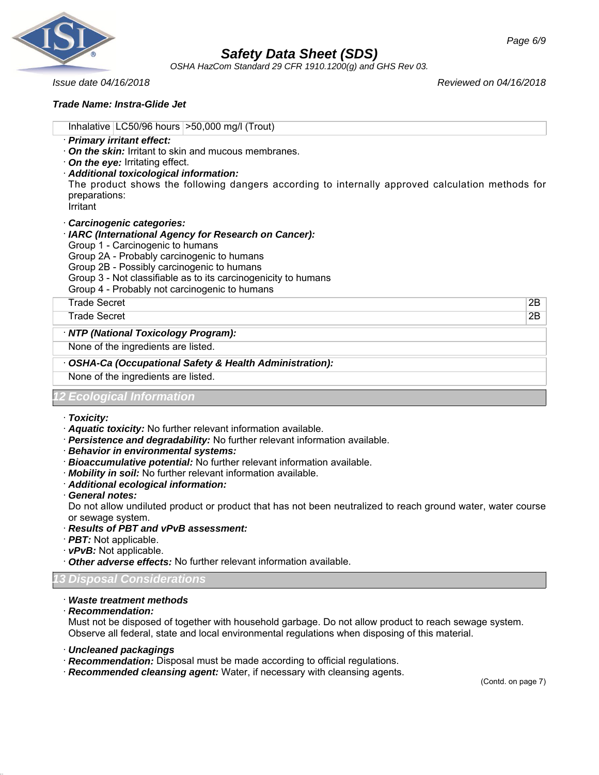

*OSHA HazCom Standard 29 CFR 1910.1200(g) and GHS Rev 03.*

*Issue date 04/16/2018 Reviewed on 04/16/2018*

#### *Trade Name: Instra-Glide Jet*

| Inhalative $ $ LC50/96 hours $ $ >50,000 mg/l (Trout)                                                                                                                                                                                                                                                                                |    |
|--------------------------------------------------------------------------------------------------------------------------------------------------------------------------------------------------------------------------------------------------------------------------------------------------------------------------------------|----|
| · Primary irritant effect:<br>$\cdot$ On the skin: Irritant to skin and mucous membranes.<br>$\cdot$ On the eye: Irritating effect.<br>· Additional toxicological information:<br>The product shows the following dangers according to internally approved calculation methods for<br>preparations:<br>Irritant                      |    |
| Carcinogenic categories:<br>· IARC (International Agency for Research on Cancer):<br>Group 1 - Carcinogenic to humans<br>Group 2A - Probably carcinogenic to humans<br>Group 2B - Possibly carcinogenic to humans<br>Group 3 - Not classifiable as to its carcinogenicity to humans<br>Group 4 - Probably not carcinogenic to humans |    |
| <b>Trade Secret</b>                                                                                                                                                                                                                                                                                                                  | 2Β |
| <b>Trade Secret</b>                                                                                                                                                                                                                                                                                                                  | 2Β |
| · NTP (National Toxicology Program):                                                                                                                                                                                                                                                                                                 |    |
| None of the ingredients are listed.                                                                                                                                                                                                                                                                                                  |    |
| OSHA-Ca (Occupational Safety & Health Administration):                                                                                                                                                                                                                                                                               |    |
| None of the ingredients are listed.                                                                                                                                                                                                                                                                                                  |    |
| Ecological Information                                                                                                                                                                                                                                                                                                               |    |

- · *Toxicity:*
- · *Aquatic toxicity:* No further relevant information available.
- · *Persistence and degradability:* No further relevant information available.
- · *Behavior in environmental systems:*
- · *Bioaccumulative potential:* No further relevant information available.
- · *Mobility in soil:* No further relevant information available.
- · *Additional ecological information:*
- · *General notes:*

Do not allow undiluted product or product that has not been neutralized to reach ground water, water course or sewage system.

- · *Results of PBT and vPvB assessment:*
- · *PBT:* Not applicable.
- · *vPvB:* Not applicable.
- · *Other adverse effects:* No further relevant information available.

#### *13 Disposal Considerations*

### · *Waste treatment methods*

· *Recommendation:*

Must not be disposed of together with household garbage. Do not allow product to reach sewage system. Observe all federal, state and local environmental regulations when disposing of this material.

- · *Uncleaned packagings*
- · *Recommendation:* Disposal must be made according to official regulations.
- · *Recommended cleansing agent:* Water, if necessary with cleansing agents.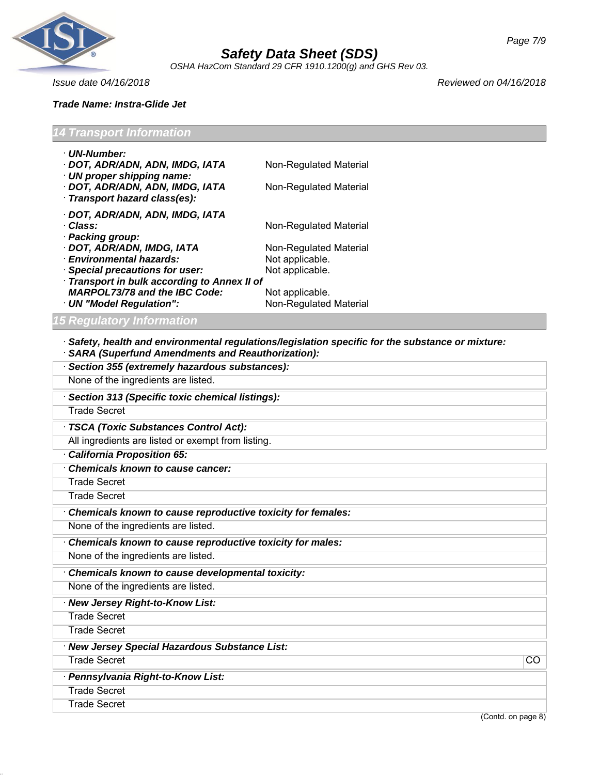

*OSHA HazCom Standard 29 CFR 1910.1200(g) and GHS Rev 03.*

*Issue date 04/16/2018 Reviewed on 04/16/2018*

| <b>14 Transport Information</b>                                     |                        |  |
|---------------------------------------------------------------------|------------------------|--|
| · UN-Number:                                                        |                        |  |
| · DOT, ADR/ADN, ADN, IMDG, IATA<br>$\cdot$ UN proper shipping name: | Non-Regulated Material |  |
| · DOT, ADR/ADN, ADN, IMDG, IATA<br>· Transport hazard class(es):    | Non-Regulated Material |  |
| · DOT, ADR/ADN, ADN, IMDG, IATA                                     |                        |  |
| · Class:                                                            | Non-Regulated Material |  |
| · Packing group:<br>· DOT, ADR/ADN, IMDG, IATA                      | Non-Regulated Material |  |
| · Environmental hazards:                                            | Not applicable.        |  |
| · Special precautions for user:                                     | Not applicable.        |  |
| · Transport in bulk according to Annex II of                        |                        |  |
| <b>MARPOL73/78 and the IBC Code:</b>                                | Not applicable.        |  |
| · UN "Model Regulation":                                            | Non-Regulated Material |  |
| <b>15 Regulatory Information</b>                                    |                        |  |

· *Safety, health and environmental regulations/legislation specific for the substance or mixture:* · *SARA (Superfund Amendments and Reauthorization):*

| Section 355 (extremely hazardous substances):               |
|-------------------------------------------------------------|
| None of the ingredients are listed.                         |
| Section 313 (Specific toxic chemical listings):             |
| <b>Trade Secret</b>                                         |
| TSCA (Toxic Substances Control Act):                        |
| All ingredients are listed or exempt from listing.          |
| <b>California Proposition 65:</b>                           |
| <b>Chemicals known to cause cancer:</b>                     |
| <b>Trade Secret</b>                                         |
| <b>Trade Secret</b>                                         |
| Chemicals known to cause reproductive toxicity for females: |
| None of the ingredients are listed.                         |
| Chemicals known to cause reproductive toxicity for males:   |
| None of the ingredients are listed.                         |
| Chemicals known to cause developmental toxicity:            |
| None of the ingredients are listed.                         |
| · New Jersey Right-to-Know List:                            |
| <b>Trade Secret</b>                                         |
| <b>Trade Secret</b>                                         |
| · New Jersey Special Hazardous Substance List:              |
| <b>Trade Secret</b><br><b>CO</b>                            |
| · Pennsylvania Right-to-Know List:                          |
| <b>Trade Secret</b>                                         |
| <b>Trade Secret</b>                                         |
| (Contd. on page 8)                                          |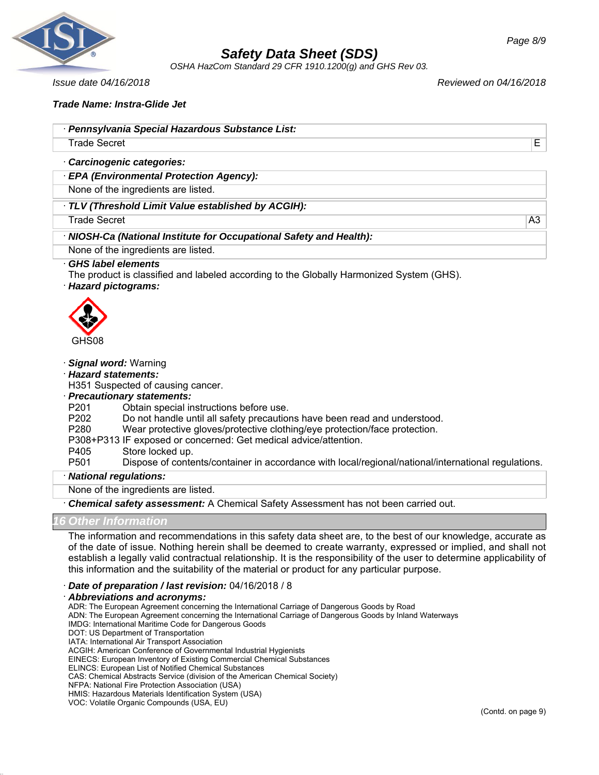

*OSHA HazCom Standard 29 CFR 1910.1200(g) and GHS Rev 03.*

*Issue date 04/16/2018 Reviewed on 04/16/2018*

### *Trade Name: Instra-Glide Jet*

Trade Secret E

· *Carcinogenic categories:*

· *EPA (Environmental Protection Agency):*

None of the ingredients are listed.

· *TLV (Threshold Limit Value established by ACGIH):*

Trade Secret A3

#### · *NIOSH-Ca (National Institute for Occupational Safety and Health):*

None of the ingredients are listed.

#### · *GHS label elements*

The product is classified and labeled according to the Globally Harmonized System (GHS).

#### · *Hazard pictograms:*



#### · *Signal word:* Warning

· *Hazard statements:*

H351 Suspected of causing cancer.

#### · *Precautionary statements:*

- P201 Obtain special instructions before use.
- P202 Do not handle until all safety precautions have been read and understood.
- P280 Wear protective gloves/protective clothing/eye protection/face protection.

P308+P313 IF exposed or concerned: Get medical advice/attention.

# P405 Store locked up.<br>P501 Dispose of conte

Dispose of contents/container in accordance with local/regional/national/international regulations.

#### · *National regulations:*

None of the ingredients are listed.

· *Chemical safety assessment:* A Chemical Safety Assessment has not been carried out.

### *16 Other Information*

The information and recommendations in this safety data sheet are, to the best of our knowledge, accurate as of the date of issue. Nothing herein shall be deemed to create warranty, expressed or implied, and shall not establish a legally valid contractual relationship. It is the responsibility of the user to determine applicability of this information and the suitability of the material or product for any particular purpose.

· *Date of preparation / last revision:* 04/16/2018 / 8

#### · *Abbreviations and acronyms:*

ADR: The European Agreement concerning the International Carriage of Dangerous Goods by Road

ADN: The European Agreement concerning the International Carriage of Dangerous Goods by Inland Waterways

IMDG: International Maritime Code for Dangerous Goods

- DOT: US Department of Transportation
- IATA: International Air Transport Association
- ACGIH: American Conference of Governmental Industrial Hygienists
- EINECS: European Inventory of Existing Commercial Chemical Substances

ELINCS: European List of Notified Chemical Substances

CAS: Chemical Abstracts Service (division of the American Chemical Society)

NFPA: National Fire Protection Association (USA)

HMIS: Hazardous Materials Identification System (USA)